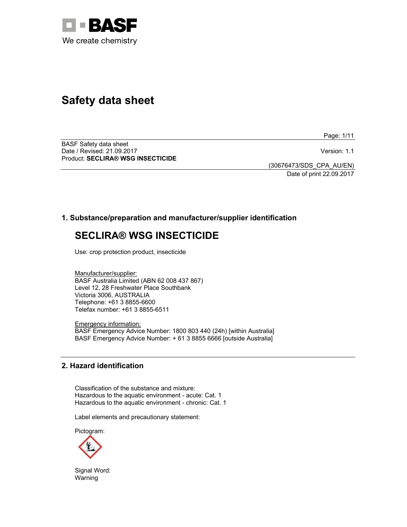

# **Safety data sheet**

Page: 1/11

BASF Safety data sheet Date / Revised: 21.09.2017 Version: 1.1 Product: **SECLIRA® WSG INSECTICIDE** 

(30676473/SDS\_CPA\_AU/EN)

Date of print 22.09.2017

# **1. Substance/preparation and manufacturer/supplier identification**

# **SECLIRA® WSG INSECTICIDE**

Use: crop protection product, insecticide

Manufacturer/supplier: BASF Australia Limited (ABN 62 008 437 867) Level 12, 28 Freshwater Place Southbank Victoria 3006, AUSTRALIA Telephone: +61 3 8855-6600 Telefax number: +61 3 8855-6511

Emergency information: BASF Emergency Advice Number: 1800 803 440 (24h) [within Australia] BASF Emergency Advice Number: + 61 3 8855 6666 [outside Australia]

# **2. Hazard identification**

Classification of the substance and mixture: Hazardous to the aquatic environment - acute: Cat. 1 Hazardous to the aquatic environment - chronic: Cat. 1

Label elements and precautionary statement:

Pictogram:



Signal Word: Warning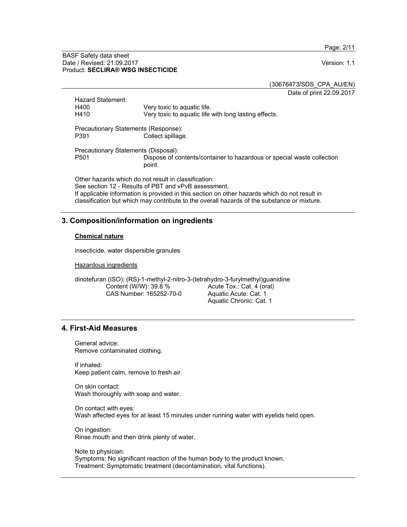Page: 2/11

#### BASF Safety data sheet Date / Revised: 21.09.2017 Version: 1.1 Product: **SECLIRA® WSG INSECTICIDE**

(30676473/SDS\_CPA\_AU/EN)

Date of print 22.09.2017

|                                                                                                              | Hazard Statement:                    |                                                                                  |
|--------------------------------------------------------------------------------------------------------------|--------------------------------------|----------------------------------------------------------------------------------|
|                                                                                                              | H400                                 | Very toxic to aguatic life.                                                      |
|                                                                                                              | H410                                 | Very toxic to aquatic life with long lasting effects.                            |
| Precautionary Statements (Response):                                                                         |                                      |                                                                                  |
|                                                                                                              | P391                                 | Collect spillage.                                                                |
|                                                                                                              | Precautionary Statements (Disposal): |                                                                                  |
|                                                                                                              | P <sub>501</sub>                     | Dispose of contents/container to hazardous or special waste collection<br>point. |
| Other hazards which do not result in classification:<br>See section 12 - Results of PBT and vPvB assessment. |                                      |                                                                                  |
|                                                                                                              |                                      |                                                                                  |
| classification but which may contribute to the overall hazards of the substance or mixture.                  |                                      |                                                                                  |

# **3. Composition/information on ingredients**

#### **Chemical nature**

insecticide, water dispersible granules

Hazardous ingredients

dinotefuran (ISO); (RS)-1-methyl-2-nitro-3-(tetrahydro-3-furylmethyl)guanidine Content (W/W): 39.8 % CAS Number: 165252-70-0 Acute Tox.: Cat. 4 (oral) Aquatic Acute: Cat. 1 Aquatic Chronic: Cat. 1

# **4. First-Aid Measures**

General advice: Remove contaminated clothing.

If inhaled: Keep patient calm, remove to fresh air.

On skin contact: Wash thoroughly with soap and water.

On contact with eyes: Wash affected eyes for at least 15 minutes under running water with eyelids held open.

On ingestion: Rinse mouth and then drink plenty of water.

Note to physician: Symptoms: No significant reaction of the human body to the product known. Treatment: Symptomatic treatment (decontamination, vital functions).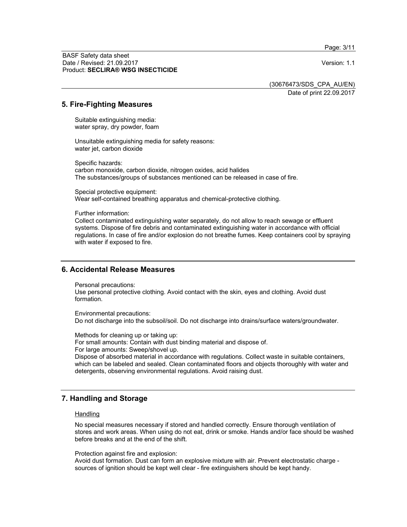Page: 3/11

BASF Safety data sheet Date / Revised: 21.09.2017 Version: 1.1 Product: **SECLIRA® WSG INSECTICIDE**

(30676473/SDS\_CPA\_AU/EN)

Date of print 22.09.2017

# **5. Fire-Fighting Measures**

Suitable extinguishing media: water spray, dry powder, foam

Unsuitable extinguishing media for safety reasons: water jet, carbon dioxide

Specific hazards: carbon monoxide, carbon dioxide, nitrogen oxides, acid halides The substances/groups of substances mentioned can be released in case of fire.

Special protective equipment: Wear self-contained breathing apparatus and chemical-protective clothing.

Further information:

Collect contaminated extinguishing water separately, do not allow to reach sewage or effluent systems. Dispose of fire debris and contaminated extinguishing water in accordance with official regulations. In case of fire and/or explosion do not breathe fumes. Keep containers cool by spraying with water if exposed to fire.

## **6. Accidental Release Measures**

Personal precautions:

Use personal protective clothing. Avoid contact with the skin, eyes and clothing. Avoid dust formation.

Environmental precautions: Do not discharge into the subsoil/soil. Do not discharge into drains/surface waters/groundwater.

Methods for cleaning up or taking up:

For small amounts: Contain with dust binding material and dispose of. For large amounts: Sweep/shovel up. Dispose of absorbed material in accordance with regulations. Collect waste in suitable containers, which can be labeled and sealed. Clean contaminated floors and objects thoroughly with water and detergents, observing environmental regulations. Avoid raising dust.

# **7. Handling and Storage**

#### **Handling**

No special measures necessary if stored and handled correctly. Ensure thorough ventilation of stores and work areas. When using do not eat, drink or smoke. Hands and/or face should be washed before breaks and at the end of the shift.

Protection against fire and explosion:

Avoid dust formation. Dust can form an explosive mixture with air. Prevent electrostatic charge sources of ignition should be kept well clear - fire extinguishers should be kept handy.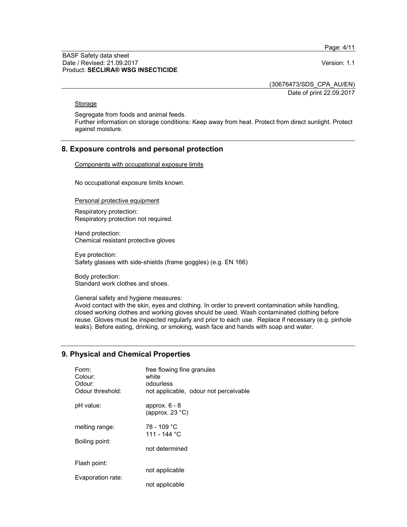Page: 4/11

#### BASF Safety data sheet Date / Revised: 21.09.2017 Version: 1.1 Product: **SECLIRA® WSG INSECTICIDE**

(30676473/SDS\_CPA\_AU/EN)

Date of print 22.09.2017

## **Storage**

Segregate from foods and animal feeds.

Further information on storage conditions: Keep away from heat. Protect from direct sunlight. Protect against moisture.

# **8. Exposure controls and personal protection**

Components with occupational exposure limits

No occupational exposure limits known.

Personal protective equipment

Respiratory protection: Respiratory protection not required.

Hand protection: Chemical resistant protective gloves

Eye protection: Safety glasses with side-shields (frame goggles) (e.g. EN 166)

Body protection: Standard work clothes and shoes.

General safety and hygiene measures:

Avoid contact with the skin, eyes and clothing. In order to prevent contamination while handling, closed working clothes and working gloves should be used. Wash contaminated clothing before reuse. Gloves must be inspected regularly and prior to each use. Replace if necessary (e.g. pinhole leaks). Before eating, drinking, or smoking, wash face and hands with soap and water.

# **9. Physical and Chemical Properties**

| Form:<br>Colour:<br>Odour:<br>Odour threshold: | free flowing fine granules<br>white<br>odourless<br>not applicable, odour not perceivable |
|------------------------------------------------|-------------------------------------------------------------------------------------------|
| pH value:                                      | approx. $6 - 8$<br>(approx. $23^{\circ}$ C)                                               |
| melting range:                                 | 78 - 109 °C<br>111 - 144 °C                                                               |
| Boiling point:                                 | not determined                                                                            |
| Flash point:                                   |                                                                                           |
| Evaporation rate:                              | not applicable                                                                            |
|                                                | not applicable                                                                            |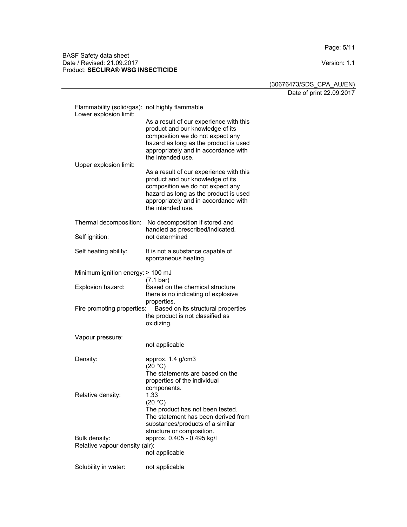Page: 5/11

#### BASF Safety data sheet Date / Revised: 21.09.2017 Version: 1.1 Product: **SECLIRA® WSG INSECTICIDE**

(30676473/SDS\_CPA\_AU/EN)

Date of print 22.09.2017

| Flammability (solid/gas): not highly flammable<br>Lower explosion limit: |                                                                                                                                                                                                                       |
|--------------------------------------------------------------------------|-----------------------------------------------------------------------------------------------------------------------------------------------------------------------------------------------------------------------|
|                                                                          | As a result of our experience with this<br>product and our knowledge of its<br>composition we do not expect any<br>hazard as long as the product is used<br>appropriately and in accordance with<br>the intended use. |
| Upper explosion limit:                                                   | As a result of our experience with this<br>product and our knowledge of its<br>composition we do not expect any<br>hazard as long as the product is used<br>appropriately and in accordance with<br>the intended use. |
| Thermal decomposition:                                                   | No decomposition if stored and<br>handled as prescribed/indicated.                                                                                                                                                    |
| Self ignition:                                                           | not determined                                                                                                                                                                                                        |
| Self heating ability:                                                    | It is not a substance capable of<br>spontaneous heating.                                                                                                                                                              |
| Minimum ignition energy: > 100 mJ                                        |                                                                                                                                                                                                                       |
| Explosion hazard:                                                        | $(7.1 \text{ bar})$<br>Based on the chemical structure<br>there is no indicating of explosive<br>properties.                                                                                                          |
| Fire promoting properties:                                               | Based on its structural properties<br>the product is not classified as<br>oxidizing.                                                                                                                                  |
| Vapour pressure:                                                         | not applicable                                                                                                                                                                                                        |
| Density:                                                                 | approx. 1.4 g/cm3<br>(20 °C)<br>The statements are based on the<br>properties of the individual                                                                                                                       |
| Relative density:                                                        | components.<br>1.33<br>(20 °C)<br>The product has not been tested.<br>The statement has been derived from<br>substances/products of a similar                                                                         |
| Bulk density:<br>Relative vapour density (air):                          | structure or composition.<br>approx. 0.405 - 0.495 kg/l<br>not applicable                                                                                                                                             |
| Solubility in water:                                                     | not applicable                                                                                                                                                                                                        |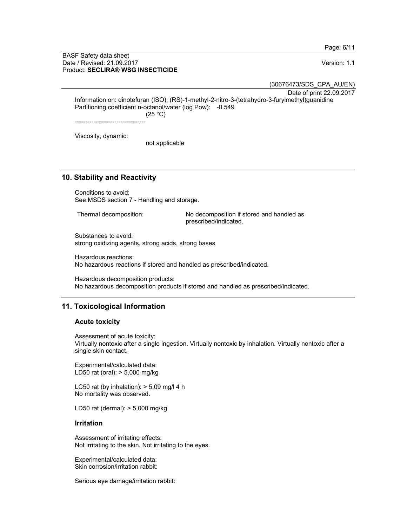Page: 6/11

#### BASF Safety data sheet Date / Revised: 21.09.2017 Version: 1.1 Product: **SECLIRA® WSG INSECTICIDE**

(30676473/SDS\_CPA\_AU/EN)

Date of print 22.09.2017

Information on: dinotefuran (ISO); (RS)-1-methyl-2-nitro-3-(tetrahydro-3-furylmethyl)guanidine Partitioning coefficient n-octanol/water (log Pow): -0.549  $(25 °C)$ 

----------------------------------

Viscosity, dynamic:

not applicable

# **10. Stability and Reactivity**

Conditions to avoid: See MSDS section 7 - Handling and storage.

Thermal decomposition: No decomposition if stored and handled as prescribed/indicated.

Substances to avoid: strong oxidizing agents, strong acids, strong bases

Hazardous reactions: No hazardous reactions if stored and handled as prescribed/indicated.

Hazardous decomposition products: No hazardous decomposition products if stored and handled as prescribed/indicated.

# **11. Toxicological Information**

## **Acute toxicity**

Assessment of acute toxicity: Virtually nontoxic after a single ingestion. Virtually nontoxic by inhalation. Virtually nontoxic after a single skin contact.

Experimental/calculated data: LD50 rat (oral): > 5,000 mg/kg

LC50 rat (by inhalation):  $>$  5.09 mg/l 4 h No mortality was observed.

LD50 rat (dermal): > 5,000 mg/kg

#### **Irritation**

Assessment of irritating effects: Not irritating to the skin. Not irritating to the eyes.

Experimental/calculated data: Skin corrosion/irritation rabbit:

Serious eye damage/irritation rabbit: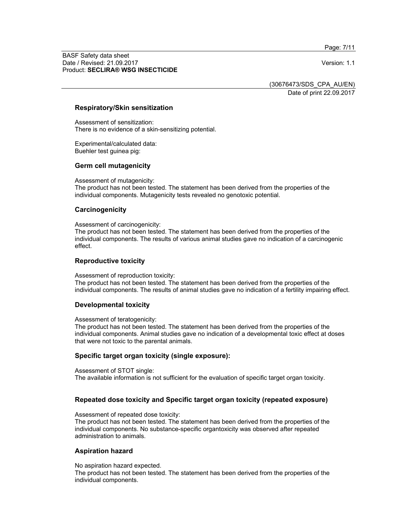Page: 7/11

BASF Safety data sheet Date / Revised: 21.09.2017 Version: 1.1 Product: **SECLIRA® WSG INSECTICIDE**

(30676473/SDS\_CPA\_AU/EN)

Date of print 22.09.2017

## **Respiratory/Skin sensitization**

Assessment of sensitization: There is no evidence of a skin-sensitizing potential.

Experimental/calculated data: Buehler test guinea pig:

#### **Germ cell mutagenicity**

Assessment of mutagenicity:

The product has not been tested. The statement has been derived from the properties of the individual components. Mutagenicity tests revealed no genotoxic potential.

#### **Carcinogenicity**

Assessment of carcinogenicity:

The product has not been tested. The statement has been derived from the properties of the individual components. The results of various animal studies gave no indication of a carcinogenic effect.

#### **Reproductive toxicity**

Assessment of reproduction toxicity:

The product has not been tested. The statement has been derived from the properties of the individual components. The results of animal studies gave no indication of a fertility impairing effect.

#### **Developmental toxicity**

Assessment of teratogenicity:

The product has not been tested. The statement has been derived from the properties of the individual components. Animal studies gave no indication of a developmental toxic effect at doses that were not toxic to the parental animals.

#### **Specific target organ toxicity (single exposure):**

Assessment of STOT single:

The available information is not sufficient for the evaluation of specific target organ toxicity.

## **Repeated dose toxicity and Specific target organ toxicity (repeated exposure)**

Assessment of repeated dose toxicity:

The product has not been tested. The statement has been derived from the properties of the individual components. No substance-specific organtoxicity was observed after repeated administration to animals.

#### **Aspiration hazard**

No aspiration hazard expected.

The product has not been tested. The statement has been derived from the properties of the individual components.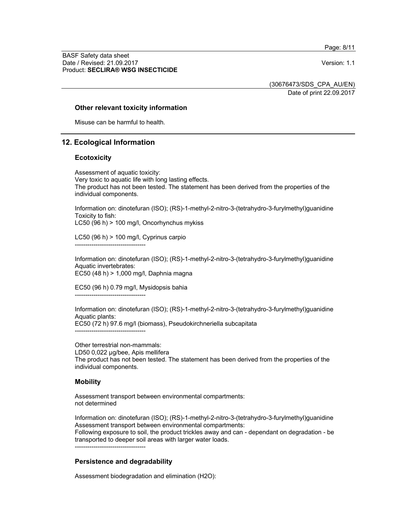Page: 8/11

BASF Safety data sheet Date / Revised: 21.09.2017 Version: 1.1 Product: **SECLIRA® WSG INSECTICIDE**

(30676473/SDS\_CPA\_AU/EN)

Date of print 22.09.2017

## **Other relevant toxicity information**

Misuse can be harmful to health.

# **12. Ecological Information**

## **Ecotoxicity**

Assessment of aquatic toxicity: Very toxic to aquatic life with long lasting effects. The product has not been tested. The statement has been derived from the properties of the individual components.

Information on: dinotefuran (ISO); (RS)-1-methyl-2-nitro-3-(tetrahydro-3-furylmethyl)guanidine Toxicity to fish:

LC50 (96 h) > 100 mg/l, Oncorhynchus mykiss

LC50 (96 h) > 100 mg/l, Cyprinus carpio ----------------------------------

Information on: dinotefuran (ISO); (RS)-1-methyl-2-nitro-3-(tetrahydro-3-furylmethyl)guanidine Aquatic invertebrates: EC50 (48 h) > 1,000 mg/l, Daphnia magna

EC50 (96 h) 0.79 mg/l, Mysidopsis bahia

----------------------------------

Information on: dinotefuran (ISO); (RS)-1-methyl-2-nitro-3-(tetrahydro-3-furylmethyl)guanidine Aquatic plants: EC50 (72 h) 97.6 mg/l (biomass), Pseudokirchneriella subcapitata ----------------------------------

Other terrestrial non-mammals: LD50 0,022 µg/bee, Apis mellifera The product has not been tested. The statement has been derived from the properties of the individual components.

## **Mobility**

Assessment transport between environmental compartments: not determined

Information on: dinotefuran (ISO); (RS)-1-methyl-2-nitro-3-(tetrahydro-3-furylmethyl)guanidine Assessment transport between environmental compartments: Following exposure to soil, the product trickles away and can - dependant on degradation - be transported to deeper soil areas with larger water loads.

----------------------------------

## **Persistence and degradability**

Assessment biodegradation and elimination (H2O):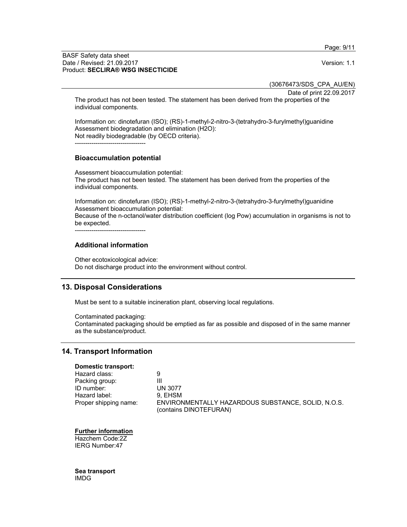Page: 9/11

#### BASF Safety data sheet Date / Revised: 21.09.2017 Version: 1.1 Product: **SECLIRA® WSG INSECTICIDE**

(30676473/SDS\_CPA\_AU/EN)

Date of print 22.09.2017

The product has not been tested. The statement has been derived from the properties of the individual components.

Information on: dinotefuran (ISO); (RS)-1-methyl-2-nitro-3-(tetrahydro-3-furylmethyl)guanidine Assessment biodegradation and elimination (H2O): Not readily biodegradable (by OECD criteria).

----------------------------------

## **Bioaccumulation potential**

Assessment bioaccumulation potential: The product has not been tested. The statement has been derived from the properties of the individual components.

Information on: dinotefuran (ISO); (RS)-1-methyl-2-nitro-3-(tetrahydro-3-furylmethyl)guanidine Assessment bioaccumulation potential: Because of the n-octanol/water distribution coefficient (log Pow) accumulation in organisms is not to be expected.

----------------------------------

# **Additional information**

Other ecotoxicological advice: Do not discharge product into the environment without control.

# **13. Disposal Considerations**

Must be sent to a suitable incineration plant, observing local regulations.

Contaminated packaging: Contaminated packaging should be emptied as far as possible and disposed of in the same manner as the substance/product.

# **14. Transport Information**

## **Domestic transport:**

Hazard class: 9 Packing group: III<br>
ID number: UN 3077 ID number: Hazard label: 9, EHSM<br>Proper shipping name: ENVIRON ENVIRONMENTALLY HAZARDOUS SUBSTANCE, SOLID, N.O.S. (contains DINOTEFURAN)

## **Further information**

Hazchem Code:2Z IERG Number:47

**Sea transport**  IMDG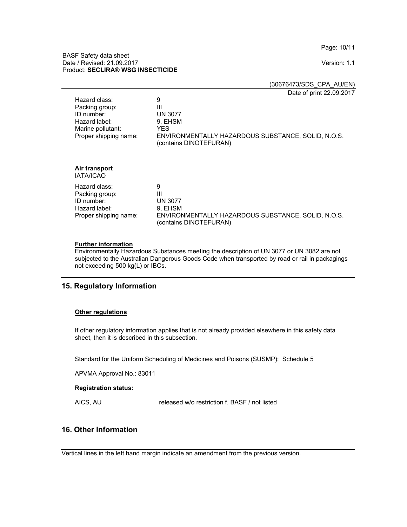Page: 10/11

#### BASF Safety data sheet Date / Revised: 21.09.2017 **Version: 1.1** Product: **SECLIRA® WSG INSECTICIDE**

(30676473/SDS\_CPA\_AU/EN)

Date of print 22.09.2017

| Hazard class:<br>Packing group:<br>ID number:<br>Hazard label:<br>Marine pollutant:<br>Proper shipping name: | 9<br>Ш<br><b>UN 3077</b><br>9. EHSM<br>YES.<br>ENVIRONMENTALLY HAZARDOUS SUBSTANCE, SOLID, N.O.S.<br>(contains DINOTEFURAN) |
|--------------------------------------------------------------------------------------------------------------|-----------------------------------------------------------------------------------------------------------------------------|
| Air transport<br>IATA/ICAO                                                                                   |                                                                                                                             |
| Hazard class:<br>Packing group:<br>ID number:<br>Hazard label:<br>Proper shipping name:                      | 9<br>Ш<br><b>UN 3077</b><br>9. EHSM<br>ENVIRONMENTALLY HAZARDOUS SUBSTANCE, SOLID, N.O.S.<br>(contains DINOTEFURAN)         |

# **Further information**

Environmentally Hazardous Substances meeting the description of UN 3077 or UN 3082 are not subjected to the Australian Dangerous Goods Code when transported by road or rail in packagings not exceeding 500 kg(L) or IBCs.

# **15. Regulatory Information**

#### **Other regulations**

If other regulatory information applies that is not already provided elsewhere in this safety data sheet, then it is described in this subsection.

Standard for the Uniform Scheduling of Medicines and Poisons (SUSMP): Schedule 5

APVMA Approval No.: 83011

#### **Registration status:**

AICS, AU released w/o restriction f. BASF / not listed

# **16. Other Information**

Vertical lines in the left hand margin indicate an amendment from the previous version.